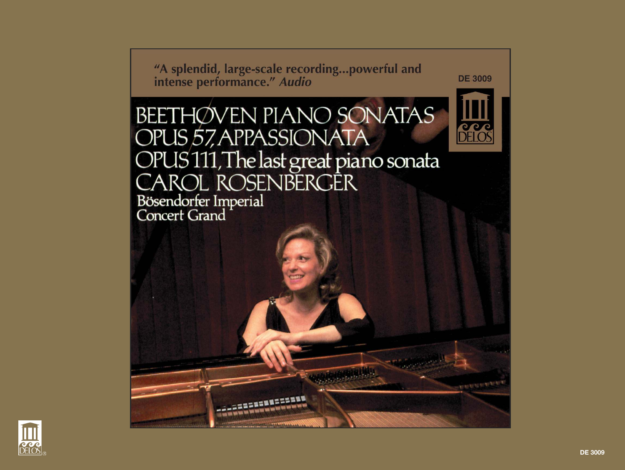"A splendid, large-scale recording...powerful and intense performance." Audio

**DE 3009** 

**PEIOS** 

**KAMMAN** 

**BEETHØVEN PIANO SONATAS** OPUS 57, APPASSIONATA OPUS 111, The last great piano sonata Bösendorfer Imperial<br>Concert Grand

============

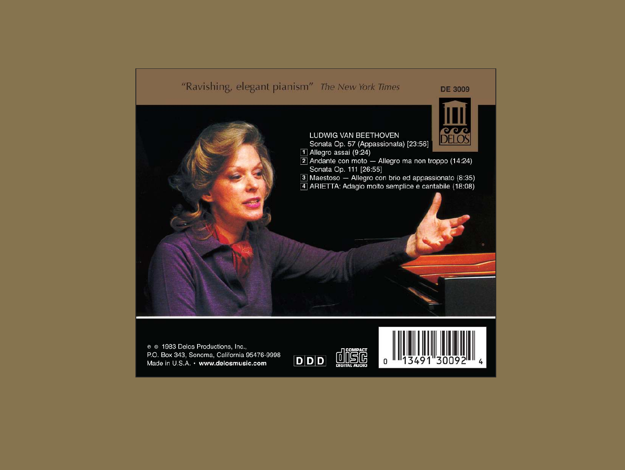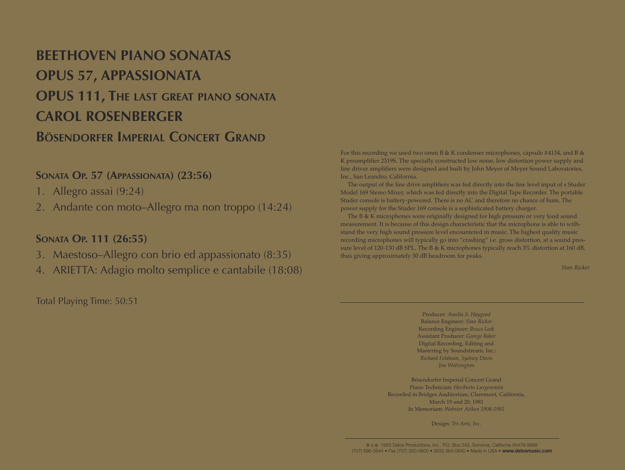## **BEETHOVEN PIANO SONATAS OPUS 57, APPASSIONATA OPUS 111, THE LAST GREAT PIANO SONATA CAROL ROSENBERGER BÖSENDORFER IMPERIAL CONCERT GRAND**

## **SONATA OP. 57 (APPASSIONATA) (23:56)**

- 1. Allegro assai (9:24)
- 2. Andante con moto–Allegro ma non troppo (14:24)

## **SONATA OP. 111 (26:55)**

- 3. Maestoso–Allegro con brio ed appassionato (8:35)
- 4. ARIETTA: Adagio molto semplice e cantabile (18:08)

For this recording we used two omni B & K condenser microphones, capsule #4134, and B & K preamplifier 2319S. The specially constructed low noise, low distortion power supply and line driver amplifiers were designed and built by John Meyer of Meyer Sound Laboratories, Inc., San Leandro, California.

The output of the line drive amplifiers was fed directly into the line level input of s Studer Model 169 Stereo Mixer, which was fed directly into the Digital Tape Recorder. The portable Studer console is battery-powered. There is no AC and therefore no chance of hum. The power supply for the Studer 169 console is a sophisticated battery charger.

The B & K microphones were originally designed for high pressure or very loud sound measurement. It is because of this design characteristic that the microphone is able to withstand the very high sound pressure level encountered in music. The highest quality music recording microphones will typically go into "crashing" i.e. gross distortion, at a sound pressure level of 120-130 dB SPL. The B & K microphones typically reach 3% distortion at 160 dB, thus giving approximately 30 dB headroom for peaks.

*Stan Ricker*

Total Playing Time: 50:51

Producer: *Amelia S. Haygood* Balance Engineer: *Stan Ricker* Recording Engineer: *Bruce Leek* Assistant Producer: *George Baker* Digital Recording, Editing and Mastering by Soundstream, Inc.: *Richard Feldman, Sydney Davis Jim Wolvington*

Bösendorfer Imperial Concert Grand Piano Technician: *Heriberto Lurgenstein* Recorded in Bridges Auditorium, Claremont, California, March 19 and 20, 1981 In Memoriam: *Webster Aitken 1908-1981*

Design: *Tri-Arts, Inc.*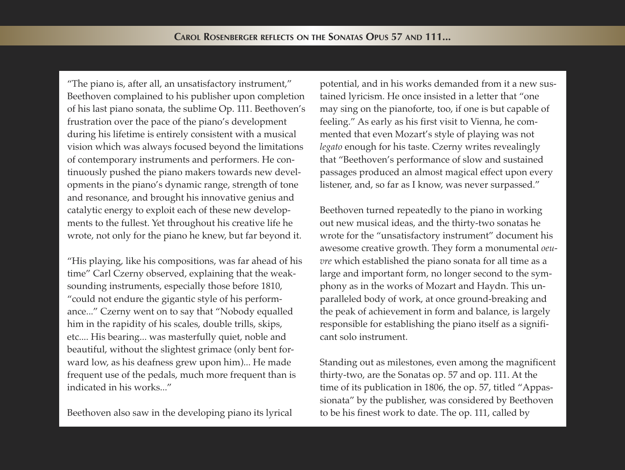"The piano is, after all, an unsatisfactory instrument," Beethoven complained to his publisher upon completion of his last piano sonata, the sublime Op. 111. Beethoven's frustration over the pace of the piano's development during his lifetime is entirely consistent with a musical vision which was always focused beyond the limitations of contemporary instruments and performers. He continuously pushed the piano makers towards new developments in the piano's dynamic range, strength of tone and resonance, and brought his innovative genius and catalytic energy to exploit each of these new developments to the fullest. Yet throughout his creative life he wrote, not only for the piano he knew, but far beyond it.

"His playing, like his compositions, was far ahead of his time" Carl Czerny observed, explaining that the weaksounding instruments, especially those before 1810, "could not endure the gigantic style of his performance..." Czerny went on to say that "Nobody equalled him in the rapidity of his scales, double trills, skips, etc.... His bearing... was masterfully quiet, noble and beautiful, without the slightest grimace (only bent forward low, as his deafness grew upon him)... He made frequent use of the pedals, much more frequent than is indicated in his works..."

Beethoven also saw in the developing piano its lyrical

potential, and in his works demanded from it a new sustained lyricism. He once insisted in a letter that "one may sing on the pianoforte, too, if one is but capable of feeling." As early as his first visit to Vienna, he commented that even Mozart's style of playing was not *legato* enough for his taste. Czerny writes revealingly that "Beethoven's performance of slow and sustained passages produced an almost magical effect upon every listener, and, so far as I know, was never surpassed."

Beethoven turned repeatedly to the piano in working out new musical ideas, and the thirty-two sonatas he wrote for the "unsatisfactory instrument" document his awesome creative growth. They form a monumental *oeuvre* which established the piano sonata for all time as a large and important form, no longer second to the symphony as in the works of Mozart and Haydn. This unparalleled body of work, at once ground-breaking and the peak of achievement in form and balance, is largely responsible for establishing the piano itself as a significant solo instrument.

Standing out as milestones, even among the magnificent thirty-two, are the Sonatas op. 57 and op. 111. At the time of its publication in 1806, the op. 57, titled "Appassionata" by the publisher, was considered by Beethoven to be his finest work to date. The op. 111, called by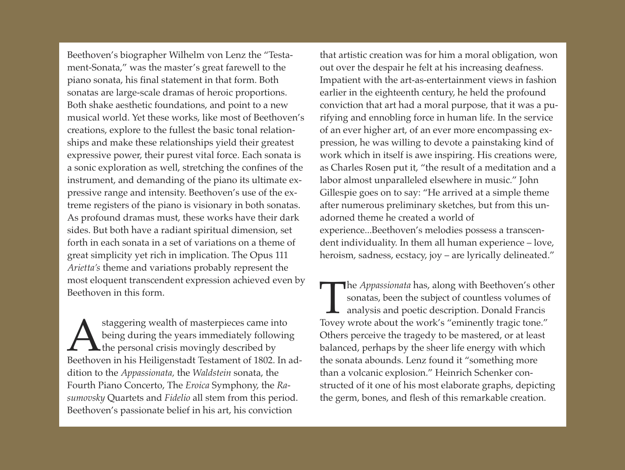Beethoven's biographer Wilhelm von Lenz the "Testament-Sonata," was the master's great farewell to the piano sonata, his final statement in that form. Both sonatas are large-scale dramas of heroic proportions. Both shake aesthetic foundations, and point to a new musical world. Yet these works, like most of Beethoven's creations, explore to the fullest the basic tonal relationships and make these relationships yield their greatest expressive power, their purest vital force. Each sonata is a sonic exploration as well, stretching the confines of the instrument, and demanding of the piano its ultimate expressive range and intensity. Beethoven's use of the extreme registers of the piano is visionary in both sonatas. As profound dramas must, these works have their dark sides. But both have a radiant spiritual dimension, set forth in each sonata in a set of variations on a theme of great simplicity yet rich in implication. The Opus 111 *Arietta's* theme and variations probably represent the most eloquent transcendent expression achieved even by Beethoven in this form.

A staggering wealth of masterpieces came into<br>being during the years immediately following<br>Beethoven in his Heiligenstadt Testament of 1802. In adstaggering wealth of masterpieces came into being during the years immediately following the personal crisis movingly described by dition to the *Appassionata,* the *Waldstein* sonata, the Fourth Piano Concerto, The *Eroica* Symphony, the *Rasumovsky* Quartets and *Fidelio* all stem from this period. Beethoven's passionate belief in his art, his conviction

that artistic creation was for him a moral obligation, won out over the despair he felt at his increasing deafness. Impatient with the art-as-entertainment views in fashion earlier in the eighteenth century, he held the profound conviction that art had a moral purpose, that it was a purifying and ennobling force in human life. In the service of an ever higher art, of an ever more encompassing expression, he was willing to devote a painstaking kind of work which in itself is awe inspiring. His creations were, as Charles Rosen put it, "the result of a meditation and a labor almost unparalleled elsewhere in music." John Gillespie goes on to say: "He arrived at a simple theme after numerous preliminary sketches, but from this unadorned theme he created a world of experience...Beethoven's melodies possess a transcendent individuality. In them all human experience – love, heroism, sadness, ecstacy, joy – are lyrically delineated."

The *Appassionata* has, along with Beethoven's other sonatas, been the subject of countless volumes of analysis and poetic description. Donald Francis Tovey wrote about the work's "eminently tragic tone." **The** *Appassionata* has, along with Beethoven's other sonatas, been the subject of countless volumes of analysis and poetic description. Donald Francis Others perceive the tragedy to be mastered, or at least balanced, perhaps by the sheer life energy with which the sonata abounds. Lenz found it "something more than a volcanic explosion." Heinrich Schenker constructed of it one of his most elaborate graphs, depicting the germ, bones, and flesh of this remarkable creation.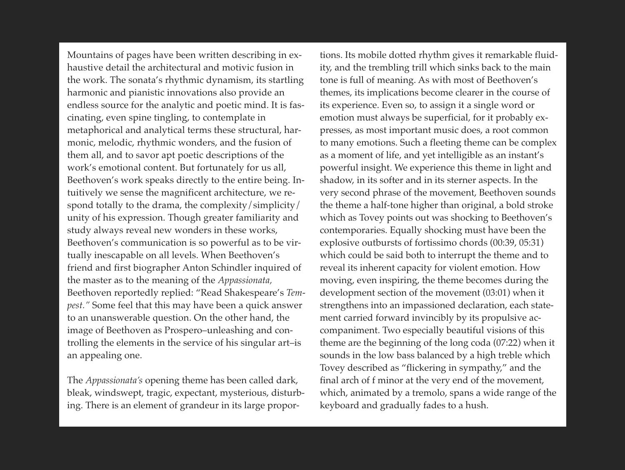Mountains of pages have been written describing in exhaustive detail the architectural and motivic fusion in the work. The sonata's rhythmic dynamism, its startling harmonic and pianistic innovations also provide an endless source for the analytic and poetic mind. It is fascinating, even spine tingling, to contemplate in metaphorical and analytical terms these structural, harmonic, melodic, rhythmic wonders, and the fusion of them all, and to savor apt poetic descriptions of the work's emotional content. But fortunately for us all, Beethoven's work speaks directly to the entire being. Intuitively we sense the magnificent architecture, we respond totally to the drama, the complexity/simplicity/ unity of his expression. Though greater familiarity and study always reveal new wonders in these works, Beethoven's communication is so powerful as to be virtually inescapable on all levels. When Beethoven's friend and first biographer Anton Schindler inquired of the master as to the meaning of the *Appassionata,* Beethoven reportedly replied: "Read Shakespeare's *Tempest."* Some feel that this may have been a quick answer to an unanswerable question. On the other hand, the image of Beethoven as Prospero–unleashing and controlling the elements in the service of his singular art–is an appealing one.

The *Appassionata's* opening theme has been called dark, bleak, windswept, tragic, expectant, mysterious, disturbing. There is an element of grandeur in its large propor-

tions. Its mobile dotted rhythm gives it remarkable fluidity, and the trembling trill which sinks back to the main tone is full of meaning. As with most of Beethoven's themes, its implications become clearer in the course of its experience. Even so, to assign it a single word or emotion must always be superficial, for it probably expresses, as most important music does, a root common to many emotions. Such a fleeting theme can be complex as a moment of life, and yet intelligible as an instant's powerful insight. We experience this theme in light and shadow, in its softer and in its sterner aspects. In the very second phrase of the movement, Beethoven sounds the theme a half-tone higher than original, a bold stroke which as Tovey points out was shocking to Beethoven's contemporaries. Equally shocking must have been the explosive outbursts of fortissimo chords (00:39, 05:31) which could be said both to interrupt the theme and to reveal its inherent capacity for violent emotion. How moving, even inspiring, the theme becomes during the development section of the movement (03:01) when it strengthens into an impassioned declaration, each statement carried forward invincibly by its propulsive accompaniment. Two especially beautiful visions of this theme are the beginning of the long coda (07:22) when it sounds in the low bass balanced by a high treble which Tovey described as "flickering in sympathy," and the final arch of f minor at the very end of the movement, which, animated by a tremolo, spans a wide range of the keyboard and gradually fades to a hush.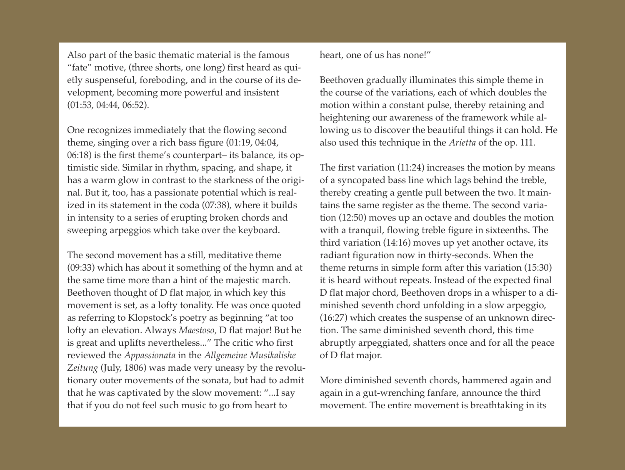Also part of the basic thematic material is the famous "fate" motive, (three shorts, one long) first heard as quietly suspenseful, foreboding, and in the course of its development, becoming more powerful and insistent (01:53, 04:44, 06:52).

One recognizes immediately that the flowing second theme, singing over a rich bass figure (01:19, 04:04, 06:18) is the first theme's counterpart– its balance, its optimistic side. Similar in rhythm, spacing, and shape, it has a warm glow in contrast to the starkness of the original. But it, too, has a passionate potential which is realized in its statement in the coda (07:38), where it builds in intensity to a series of erupting broken chords and sweeping arpeggios which take over the keyboard.

The second movement has a still, meditative theme (09:33) which has about it something of the hymn and at the same time more than a hint of the majestic march. Beethoven thought of D flat major, in which key this movement is set, as a lofty tonality. He was once quoted as referring to Klopstock's poetry as beginning "at too lofty an elevation. Always *Maestoso,* D flat major! But he is great and uplifts nevertheless..." The critic who first reviewed the *Appassionata* in the *Allgemeine Musikalishe Zeitung* (July, 1806) was made very uneasy by the revolutionary outer movements of the sonata, but had to admit that he was captivated by the slow movement: "...I say that if you do not feel such music to go from heart to

heart, one of us has none!"

Beethoven gradually illuminates this simple theme in the course of the variations, each of which doubles the motion within a constant pulse, thereby retaining and heightening our awareness of the framework while allowing us to discover the beautiful things it can hold. He also used this technique in the *Arietta* of the op. 111.

The first variation (11:24) increases the motion by means of a syncopated bass line which lags behind the treble, thereby creating a gentle pull between the two. It maintains the same register as the theme. The second variation (12:50) moves up an octave and doubles the motion with a tranquil, flowing treble figure in sixteenths. The third variation (14:16) moves up yet another octave, its radiant figuration now in thirty-seconds. When the theme returns in simple form after this variation (15:30) it is heard without repeats. Instead of the expected final D flat major chord, Beethoven drops in a whisper to a diminished seventh chord unfolding in a slow arpeggio, (16:27) which creates the suspense of an unknown direction. The same diminished seventh chord, this time abruptly arpeggiated, shatters once and for all the peace of D flat major.

More diminished seventh chords, hammered again and again in a gut-wrenching fanfare, announce the third movement. The entire movement is breathtaking in its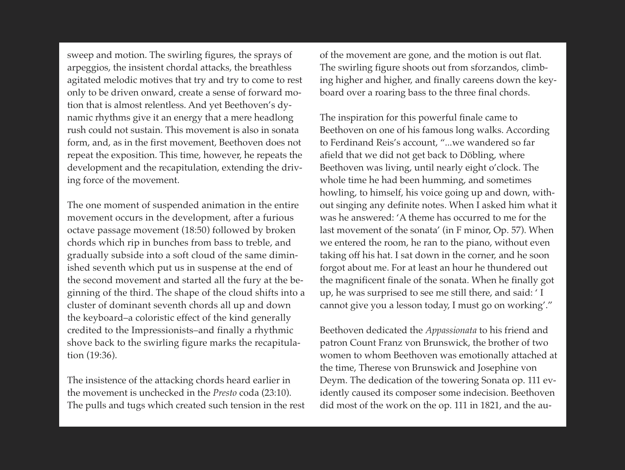sweep and motion. The swirling figures, the sprays of arpeggios, the insistent chordal attacks, the breathless agitated melodic motives that try and try to come to rest only to be driven onward, create a sense of forward motion that is almost relentless. And yet Beethoven's dynamic rhythms give it an energy that a mere headlong rush could not sustain. This movement is also in sonata form, and, as in the first movement, Beethoven does not repeat the exposition. This time, however, he repeats the development and the recapitulation, extending the driving force of the movement.

The one moment of suspended animation in the entire movement occurs in the development, after a furious octave passage movement (18:50) followed by broken chords which rip in bunches from bass to treble, and gradually subside into a soft cloud of the same diminished seventh which put us in suspense at the end of the second movement and started all the fury at the beginning of the third. The shape of the cloud shifts into a cluster of dominant seventh chords all up and down the keyboard–a coloristic effect of the kind generally credited to the Impressionists–and finally a rhythmic shove back to the swirling figure marks the recapitulation (19:36).

The insistence of the attacking chords heard earlier in the movement is unchecked in the *Presto* coda (23:10). The pulls and tugs which created such tension in the rest of the movement are gone, and the motion is out flat. The swirling figure shoots out from sforzandos, climbing higher and higher, and finally careens down the keyboard over a roaring bass to the three final chords.

The inspiration for this powerful finale came to Beethoven on one of his famous long walks. According to Ferdinand Reis's account, "...we wandered so far afield that we did not get back to Döbling, where Beethoven was living, until nearly eight o'clock. The whole time he had been humming, and sometimes howling, to himself, his voice going up and down, without singing any definite notes. When I asked him what it was he answered: 'A theme has occurred to me for the last movement of the sonata' (in F minor, Op. 57). When we entered the room, he ran to the piano, without even taking off his hat. I sat down in the corner, and he soon forgot about me. For at least an hour he thundered out the magnificent finale of the sonata. When he finally got up, he was surprised to see me still there, and said: ' I cannot give you a lesson today, I must go on working'."

Beethoven dedicated the *Appassionata* to his friend and patron Count Franz von Brunswick, the brother of two women to whom Beethoven was emotionally attached at the time, Therese von Brunswick and Josephine von Deym. The dedication of the towering Sonata op. 111 evidently caused its composer some indecision. Beethoven did most of the work on the op. 111 in 1821, and the au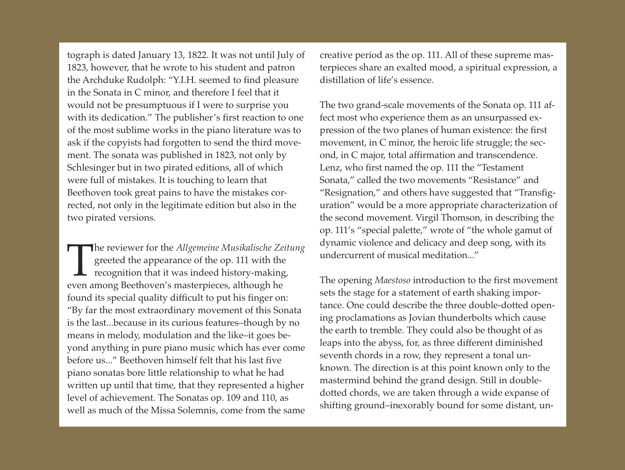tograph is dated January 13, 1822. It was not until July of 1823, however, that he wrote to his student and patron the Archduke Rudolph: "Y.I.H. seemed to find pleasure in the Sonata in C minor, and therefore I feel that it would not be presumptuous if I were to surprise you with its dedication." The publisher's first reaction to one of the most sublime works in the piano literature was to ask if the copyists had forgotten to send the third movement. The sonata was published in 1823, not only by Schlesinger but in two pirated editions, all of which were full of mistakes. It is touching to learn that Beethoven took great pains to have the mistakes corrected, not only in the legitimate edition but also in the two pirated versions.

The reviewer for the *Allgemeine Musikalische Ze* greeted the appearance of the op. 111 with the recognition that it was indeed history-making even among Beethoven's masterpieces, although he he reviewer for the *Allgemeine Musikalische Zeitung* greeted the appearance of the op. 111 with the  $\mathsf{\mathsf{L}}$  recognition that it was indeed history-making, found its special quality difficult to put his finger on: "By far the most extraordinary movement of this Sonata is the last...because in its curious features–though by no means in melody, modulation and the like–it goes beyond anything in pure piano music which has ever come before us..." Beethoven himself felt that his last five piano sonatas bore little relationship to what he had written up until that time, that they represented a higher level of achievement. The Sonatas op. 109 and 110, as well as much of the Missa Solemnis, come from the same

creative period as the op. 111. All of these supreme masterpieces share an exalted mood, a spiritual expression, a distillation of life's essence.

The two grand-scale movements of the Sonata op. 111 affect most who experience them as an unsurpassed expression of the two planes of human existence: the first movement, in C minor, the heroic life struggle; the second, in C major, total affirmation and transcendence. Lenz, who first named the op. 111 the "Testament Sonata," called the two movements "Resistance" and "Resignation," and others have suggested that "Transfiguration" would be a more appropriate characterization of the second movement. Virgil Thomson, in describing the op. 111's "special palette," wrote of "the whole gamut of dynamic violence and delicacy and deep song, with its undercurrent of musical meditation..."

The opening *Maestoso* introduction to the first movement sets the stage for a statement of earth shaking importance. One could describe the three double-dotted opening proclamations as Jovian thunderbolts which cause the earth to tremble. They could also be thought of as leaps into the abyss, for, as three different diminished seventh chords in a row, they represent a tonal unknown. The direction is at this point known only to the mastermind behind the grand design. Still in doubledotted chords, we are taken through a wide expanse of shifting ground–inexorably bound for some distant, un-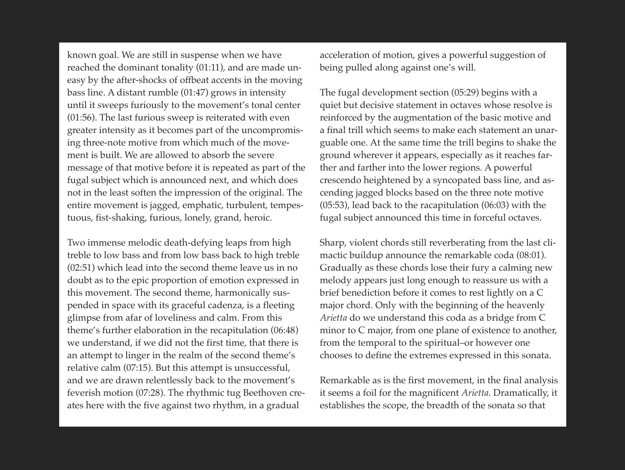known goal. We are still in suspense when we have reached the dominant tonality (01:11), and are made uneasy by the after-shocks of offbeat accents in the moving bass line. A distant rumble (01:47) grows in intensity until it sweeps furiously to the movement's tonal center (01:56). The last furious sweep is reiterated with even greater intensity as it becomes part of the uncompromising three-note motive from which much of the movement is built. We are allowed to absorb the severe message of that motive before it is repeated as part of the fugal subject which is announced next, and which does not in the least soften the impression of the original. The entire movement is jagged, emphatic, turbulent, tempestuous, fist-shaking, furious, lonely, grand, heroic.

Two immense melodic death-defying leaps from high treble to low bass and from low bass back to high treble (02:51) which lead into the second theme leave us in no doubt as to the epic proportion of emotion expressed in this movement. The second theme, harmonically suspended in space with its graceful cadenza, is a fleeting glimpse from afar of loveliness and calm. From this theme's further elaboration in the recapitulation (06:48) we understand, if we did not the first time, that there is an attempt to linger in the realm of the second theme's relative calm (07:15). But this attempt is unsuccessful, and we are drawn relentlessly back to the movement's feverish motion (07:28). The rhythmic tug Beethoven creates here with the five against two rhythm, in a gradual

acceleration of motion, gives a powerful suggestion of being pulled along against one's will.

The fugal development section (05:29) begins with a quiet but decisive statement in octaves whose resolve is reinforced by the augmentation of the basic motive and a final trill which seems to make each statement an unarguable one. At the same time the trill begins to shake the ground wherever it appears, especially as it reaches farther and farther into the lower regions. A powerful crescendo heightened by a syncopated bass line, and ascending jagged blocks based on the three note motive (05:53), lead back to the racapitulation (06:03) with the fugal subject announced this time in forceful octaves.

Sharp, violent chords still reverberating from the last climactic buildup announce the remarkable coda (08:01). Gradually as these chords lose their fury a calming new melody appears just long enough to reassure us with a brief benediction before it comes to rest lightly on a C major chord. Only with the beginning of the heavenly *Arietta* do we understand this coda as a bridge from C minor to C major, from one plane of existence to another, from the temporal to the spiritual–or however one chooses to define the extremes expressed in this sonata.

Remarkable as is the first movement, in the final analysis it seems a foil for the magnificent *Arietta.* Dramatically, it establishes the scope, the breadth of the sonata so that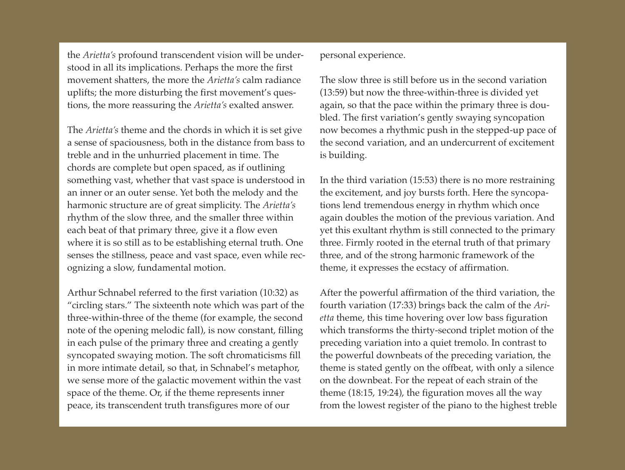the *Arietta's* profound transcendent vision will be understood in all its implications. Perhaps the more the first movement shatters, the more the *Arietta's* calm radiance uplifts; the more disturbing the first movement's questions, the more reassuring the *Arietta's* exalted answer.

The *Arietta's* theme and the chords in which it is set give a sense of spaciousness, both in the distance from bass to treble and in the unhurried placement in time. The chords are complete but open spaced, as if outlining something vast, whether that vast space is understood in an inner or an outer sense. Yet both the melody and the harmonic structure are of great simplicity. The *Arietta's* rhythm of the slow three, and the smaller three within each beat of that primary three, give it a flow even where it is so still as to be establishing eternal truth. One senses the stillness, peace and vast space, even while recognizing a slow, fundamental motion.

Arthur Schnabel referred to the first variation (10:32) as "circling stars." The sixteenth note which was part of the three-within-three of the theme (for example, the second note of the opening melodic fall), is now constant, filling in each pulse of the primary three and creating a gently syncopated swaying motion. The soft chromaticisms fill in more intimate detail, so that, in Schnabel's metaphor, we sense more of the galactic movement within the vast space of the theme. Or, if the theme represents inner peace, its transcendent truth transfigures more of our

personal experience.

The slow three is still before us in the second variation (13:59) but now the three-within-three is divided yet again, so that the pace within the primary three is doubled. The first variation's gently swaying syncopation now becomes a rhythmic push in the stepped-up pace of the second variation, and an undercurrent of excitement is building.

In the third variation (15:53) there is no more restraining the excitement, and joy bursts forth. Here the syncopations lend tremendous energy in rhythm which once again doubles the motion of the previous variation. And yet this exultant rhythm is still connected to the primary three. Firmly rooted in the eternal truth of that primary three, and of the strong harmonic framework of the theme, it expresses the ecstacy of affirmation.

After the powerful affirmation of the third variation, the fourth variation (17:33) brings back the calm of the *Arietta* theme, this time hovering over low bass figuration which transforms the thirty-second triplet motion of the preceding variation into a quiet tremolo. In contrast to the powerful downbeats of the preceding variation, the theme is stated gently on the offbeat, with only a silence on the downbeat. For the repeat of each strain of the theme (18:15, 19:24), the figuration moves all the way from the lowest register of the piano to the highest treble